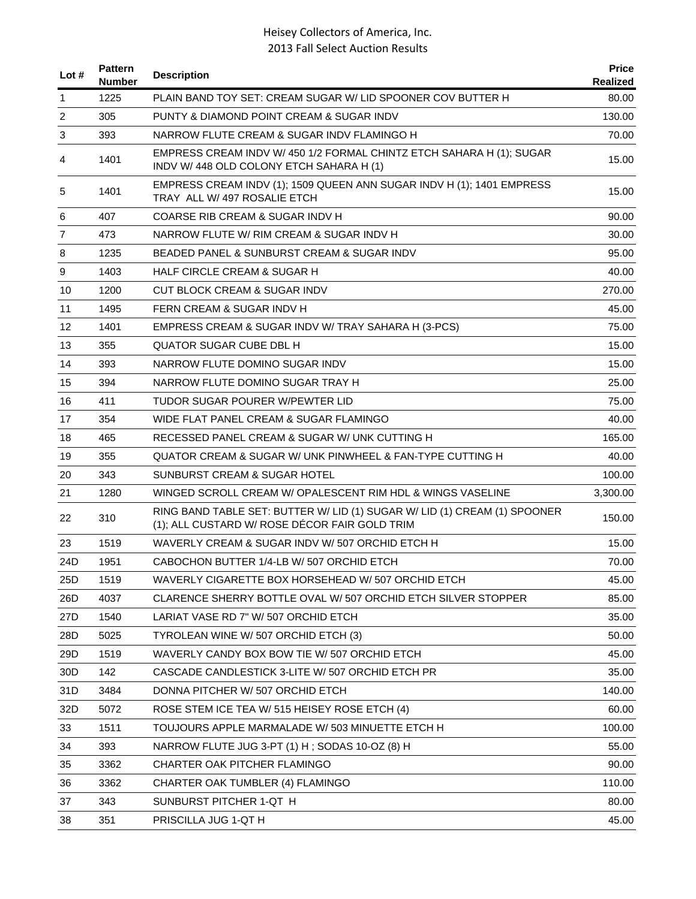| Lot #           | <b>Pattern</b><br><b>Number</b> | <b>Description</b>                                                                                                         | <b>Price</b><br>Realized |
|-----------------|---------------------------------|----------------------------------------------------------------------------------------------------------------------------|--------------------------|
| 1               | 1225                            | PLAIN BAND TOY SET: CREAM SUGAR W/ LID SPOONER COV BUTTER H                                                                | 80.00                    |
| 2               | 305                             | PUNTY & DIAMOND POINT CREAM & SUGAR INDV                                                                                   | 130.00                   |
| 3               | 393                             | NARROW FLUTE CREAM & SUGAR INDV FLAMINGO H                                                                                 | 70.00                    |
| 4               | 1401                            | EMPRESS CREAM INDV W/ 450 1/2 FORMAL CHINTZ ETCH SAHARA H (1); SUGAR<br>INDV W/ 448 OLD COLONY ETCH SAHARA H (1)           | 15.00                    |
| 5               | 1401                            | EMPRESS CREAM INDV (1); 1509 QUEEN ANN SUGAR INDV H (1); 1401 EMPRESS<br>TRAY ALL W/497 ROSALIE ETCH                       | 15.00                    |
| 6               | 407                             | COARSE RIB CREAM & SUGAR INDV H                                                                                            | 90.00                    |
| 7               | 473                             | NARROW FLUTE W/ RIM CREAM & SUGAR INDV H                                                                                   | 30.00                    |
| 8               | 1235                            | BEADED PANEL & SUNBURST CREAM & SUGAR INDV                                                                                 | 95.00                    |
| 9               | 1403                            | HALF CIRCLE CREAM & SUGAR H                                                                                                | 40.00                    |
| 10              | 1200                            | <b>CUT BLOCK CREAM &amp; SUGAR INDV</b>                                                                                    | 270.00                   |
| 11              | 1495                            | FERN CREAM & SUGAR INDV H                                                                                                  | 45.00                    |
| 12              | 1401                            | EMPRESS CREAM & SUGAR INDV W/ TRAY SAHARA H (3-PCS)                                                                        | 75.00                    |
| 13              | 355                             | QUATOR SUGAR CUBE DBL H                                                                                                    | 15.00                    |
| 14              | 393                             | NARROW FLUTE DOMINO SUGAR INDV                                                                                             | 15.00                    |
| 15              | 394                             | NARROW FLUTE DOMINO SUGAR TRAY H                                                                                           | 25.00                    |
| 16              | 411                             | TUDOR SUGAR POURER W/PEWTER LID                                                                                            | 75.00                    |
| 17              | 354                             | WIDE FLAT PANEL CREAM & SUGAR FLAMINGO                                                                                     | 40.00                    |
| 18              | 465                             | RECESSED PANEL CREAM & SUGAR W/ UNK CUTTING H                                                                              | 165.00                   |
| 19              | 355                             | QUATOR CREAM & SUGAR W/ UNK PINWHEEL & FAN-TYPE CUTTING H                                                                  | 40.00                    |
| 20              | 343                             | SUNBURST CREAM & SUGAR HOTEL                                                                                               | 100.00                   |
| 21              | 1280                            | WINGED SCROLL CREAM W/ OPALESCENT RIM HDL & WINGS VASELINE                                                                 | 3,300.00                 |
| 22              | 310                             | RING BAND TABLE SET: BUTTER W/ LID (1) SUGAR W/ LID (1) CREAM (1) SPOONER<br>(1); ALL CUSTARD W/ ROSE DÉCOR FAIR GOLD TRIM | 150.00                   |
| 23              | 1519                            | WAVERLY CREAM & SUGAR INDV W/507 ORCHID ETCH H                                                                             | 15.00                    |
| 24D             | 1951                            | CABOCHON BUTTER 1/4-LB W/ 507 ORCHID ETCH                                                                                  | 70.00                    |
| 25D             | 1519                            | WAVERLY CIGARETTE BOX HORSEHEAD W/ 507 ORCHID ETCH                                                                         | 45.00                    |
| 26D             | 4037                            | CLARENCE SHERRY BOTTLE OVAL W/ 507 ORCHID ETCH SILVER STOPPER                                                              | 85.00                    |
| 27D             | 1540                            | LARIAT VASE RD 7" W/ 507 ORCHID ETCH                                                                                       | 35.00                    |
| 28D             | 5025                            | TYROLEAN WINE W/ 507 ORCHID ETCH (3)                                                                                       | 50.00                    |
| 29D             | 1519                            | WAVERLY CANDY BOX BOW TIE W/ 507 ORCHID ETCH                                                                               | 45.00                    |
| 30 <sub>D</sub> | 142                             | CASCADE CANDLESTICK 3-LITE W/ 507 ORCHID ETCH PR                                                                           | 35.00                    |
| 31D             | 3484                            | DONNA PITCHER W/ 507 ORCHID ETCH                                                                                           | 140.00                   |
| 32D             | 5072                            | ROSE STEM ICE TEA W/ 515 HEISEY ROSE ETCH (4)                                                                              | 60.00                    |
| 33              | 1511                            | TOUJOURS APPLE MARMALADE W/ 503 MINUETTE ETCH H                                                                            | 100.00                   |
| 34              | 393                             | NARROW FLUTE JUG 3-PT (1) H; SODAS 10-OZ (8) H                                                                             | 55.00                    |
| 35              | 3362                            | CHARTER OAK PITCHER FLAMINGO                                                                                               | 90.00                    |
| 36              | 3362                            | CHARTER OAK TUMBLER (4) FLAMINGO                                                                                           | 110.00                   |
| 37              | 343                             | SUNBURST PITCHER 1-QT H                                                                                                    | 80.00                    |
| 38              | 351                             | PRISCILLA JUG 1-QT H                                                                                                       | 45.00                    |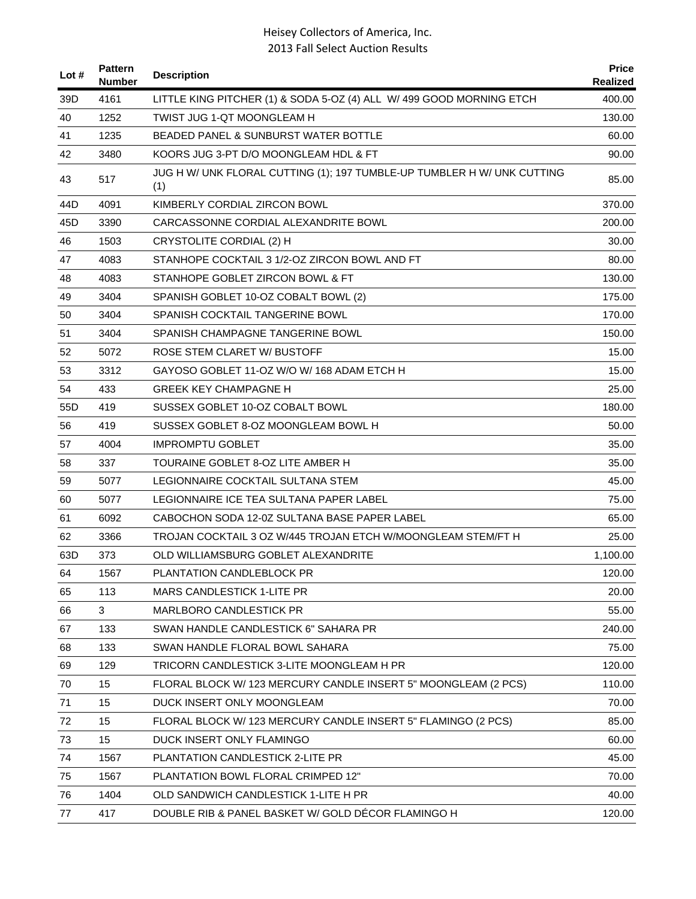| Lot $#$         | <b>Pattern</b><br><b>Number</b> | <b>Description</b>                                                             | <b>Price</b><br>Realized |
|-----------------|---------------------------------|--------------------------------------------------------------------------------|--------------------------|
| 39D             | 4161                            | LITTLE KING PITCHER (1) & SODA 5-OZ (4) ALL W/ 499 GOOD MORNING ETCH           | 400.00                   |
| 40              | 1252                            | TWIST JUG 1-QT MOONGLEAM H                                                     | 130.00                   |
| 41              | 1235                            | <b>BEADED PANEL &amp; SUNBURST WATER BOTTLE</b>                                | 60.00                    |
| 42              | 3480                            | KOORS JUG 3-PT D/O MOONGLEAM HDL & FT                                          | 90.00                    |
| 43              | 517                             | JUG H W/ UNK FLORAL CUTTING (1); 197 TUMBLE-UP TUMBLER H W/ UNK CUTTING<br>(1) | 85.00                    |
| 44D             | 4091                            | KIMBERLY CORDIAL ZIRCON BOWL                                                   | 370.00                   |
| 45D             | 3390                            | CARCASSONNE CORDIAL ALEXANDRITE BOWL                                           | 200.00                   |
| 46              | 1503                            | CRYSTOLITE CORDIAL (2) H                                                       | 30.00                    |
| 47              | 4083                            | STANHOPE COCKTAIL 3 1/2-OZ ZIRCON BOWL AND FT                                  | 80.00                    |
| 48              | 4083                            | STANHOPE GOBLET ZIRCON BOWL & FT                                               | 130.00                   |
| 49              | 3404                            | SPANISH GOBLET 10-OZ COBALT BOWL (2)                                           | 175.00                   |
| 50              | 3404                            | SPANISH COCKTAIL TANGERINE BOWL                                                | 170.00                   |
| 51              | 3404                            | SPANISH CHAMPAGNE TANGERINE BOWL                                               | 150.00                   |
| 52              | 5072                            | ROSE STEM CLARET W/ BUSTOFF                                                    | 15.00                    |
| 53              | 3312                            | GAYOSO GOBLET 11-OZ W/O W/ 168 ADAM ETCH H                                     | 15.00                    |
| 54              | 433                             | <b>GREEK KEY CHAMPAGNE H</b>                                                   | 25.00                    |
| 55 <sub>D</sub> | 419                             | SUSSEX GOBLET 10-OZ COBALT BOWL                                                | 180.00                   |
| 56              | 419                             | SUSSEX GOBLET 8-OZ MOONGLEAM BOWL H                                            | 50.00                    |
| 57              | 4004                            | <b>IMPROMPTU GOBLET</b>                                                        | 35.00                    |
| 58              | 337                             | TOURAINE GOBLET 8-OZ LITE AMBER H                                              | 35.00                    |
| 59              | 5077                            | LEGIONNAIRE COCKTAIL SULTANA STEM                                              | 45.00                    |
| 60              | 5077                            | LEGIONNAIRE ICE TEA SULTANA PAPER LABEL                                        | 75.00                    |
| 61              | 6092                            | CABOCHON SODA 12-0Z SULTANA BASE PAPER LABEL                                   | 65.00                    |
| 62              | 3366                            | TROJAN COCKTAIL 3 OZ W/445 TROJAN ETCH W/MOONGLEAM STEM/FT H                   | 25.00                    |
| 63D             | 373                             | OLD WILLIAMSBURG GOBLET ALEXANDRITE                                            | 1,100.00                 |
| 64              | 1567                            | PLANTATION CANDLEBLOCK PR                                                      | 120.00                   |
| 65              | 113                             | <b>MARS CANDLESTICK 1-LITE PR</b>                                              | 20.00                    |
| 66              | $\mathbf{3}$                    | MARLBORO CANDLESTICK PR                                                        | 55.00                    |
| 67              | 133                             | SWAN HANDLE CANDLESTICK 6" SAHARA PR                                           | 240.00                   |
| 68              | 133                             | SWAN HANDLE FLORAL BOWL SAHARA                                                 | 75.00                    |
| 69              | 129                             | TRICORN CANDLESTICK 3-LITE MOONGLEAM H PR                                      | 120.00                   |
| 70              | 15                              | FLORAL BLOCK W/ 123 MERCURY CANDLE INSERT 5" MOONGLEAM (2 PCS)                 | 110.00                   |
| 71              | 15                              | DUCK INSERT ONLY MOONGLEAM                                                     | 70.00                    |
| 72              | 15                              | FLORAL BLOCK W/ 123 MERCURY CANDLE INSERT 5" FLAMINGO (2 PCS)                  | 85.00                    |
| 73              | 15                              | DUCK INSERT ONLY FLAMINGO                                                      | 60.00                    |
| 74              | 1567                            | PLANTATION CANDLESTICK 2-LITE PR                                               | 45.00                    |
| 75              | 1567                            | PLANTATION BOWL FLORAL CRIMPED 12"                                             | 70.00                    |
| 76              | 1404                            | OLD SANDWICH CANDLESTICK 1-LITE H PR                                           | 40.00                    |
| 77              | 417                             | DOUBLE RIB & PANEL BASKET W/ GOLD DECOR FLAMINGO H                             | 120.00                   |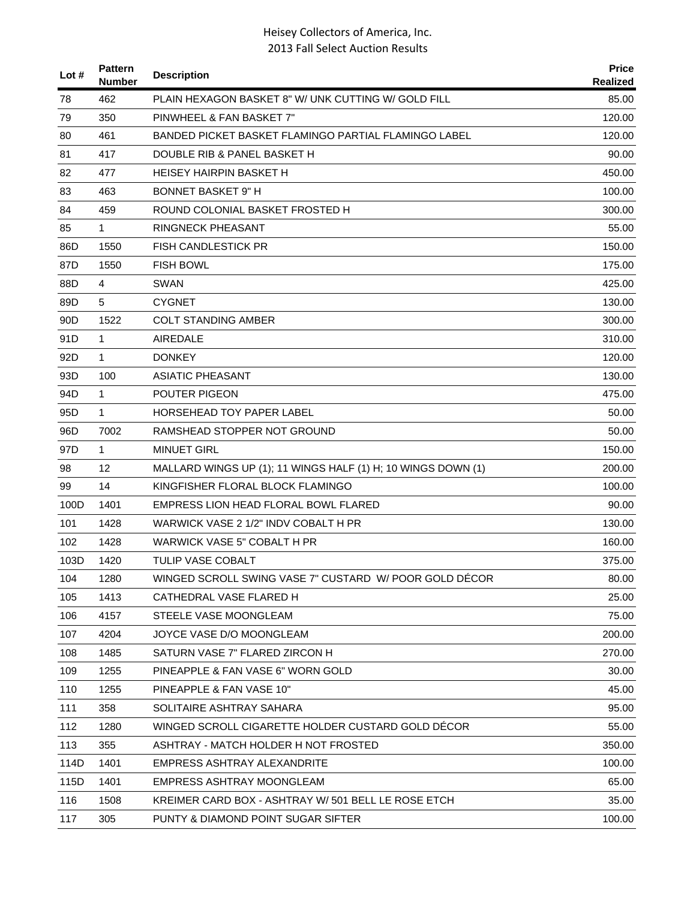| Lot #           | <b>Pattern</b><br><b>Number</b> | <b>Description</b>                                           | <b>Price</b><br>Realized |
|-----------------|---------------------------------|--------------------------------------------------------------|--------------------------|
| 78              | 462                             | PLAIN HEXAGON BASKET 8" W/ UNK CUTTING W/ GOLD FILL          | 85.00                    |
| 79              | 350                             | PINWHEEL & FAN BASKET 7"                                     | 120.00                   |
| 80              | 461                             | BANDED PICKET BASKET FLAMINGO PARTIAL FLAMINGO LABEL         | 120.00                   |
| 81              | 417                             | DOUBLE RIB & PANEL BASKET H                                  | 90.00                    |
| 82              | 477                             | <b>HEISEY HAIRPIN BASKET H</b>                               | 450.00                   |
| 83              | 463                             | <b>BONNET BASKET 9" H</b>                                    | 100.00                   |
| 84              | 459                             | ROUND COLONIAL BASKET FROSTED H                              | 300.00                   |
| 85              | 1                               | <b>RINGNECK PHEASANT</b>                                     | 55.00                    |
| 86D             | 1550                            | <b>FISH CANDLESTICK PR</b>                                   | 150.00                   |
| 87D             | 1550                            | <b>FISH BOWL</b>                                             | 175.00                   |
| 88D             | 4                               | <b>SWAN</b>                                                  | 425.00                   |
| 89D             | 5                               | <b>CYGNET</b>                                                | 130.00                   |
| 90 <sub>D</sub> | 1522                            | <b>COLT STANDING AMBER</b>                                   | 300.00                   |
| 91D             | 1                               | <b>AIREDALE</b>                                              | 310.00                   |
| 92D             | 1                               | <b>DONKEY</b>                                                | 120.00                   |
| 93D             | 100                             | <b>ASIATIC PHEASANT</b>                                      | 130.00                   |
| 94 <sub>D</sub> | 1                               | POUTER PIGEON                                                | 475.00                   |
| 95 <sub>D</sub> | 1                               | <b>HORSEHEAD TOY PAPER LABEL</b>                             | 50.00                    |
| 96D             | 7002                            | RAMSHEAD STOPPER NOT GROUND                                  | 50.00                    |
| 97 <sub>D</sub> | 1                               | <b>MINUET GIRL</b>                                           | 150.00                   |
| 98              | 12                              | MALLARD WINGS UP (1); 11 WINGS HALF (1) H; 10 WINGS DOWN (1) | 200.00                   |
| 99              | 14                              | KINGFISHER FLORAL BLOCK FLAMINGO                             | 100.00                   |
| 100D            | 1401                            | EMPRESS LION HEAD FLORAL BOWL FLARED                         | 90.00                    |
| 101             | 1428                            | WARWICK VASE 2 1/2" INDV COBALT H PR                         | 130.00                   |
| 102             | 1428                            | WARWICK VASE 5" COBALT H PR                                  | 160.00                   |
| 103D            | 1420                            | <b>TULIP VASE COBALT</b>                                     | 375.00                   |
| 104             | 1280                            | WINGED SCROLL SWING VASE 7" CUSTARD W/ POOR GOLD DECOR       | 80.00                    |
| 105             | 1413                            | CATHEDRAL VASE FLARED H                                      | 25.00                    |
| 106             | 4157                            | STEELE VASE MOONGLEAM                                        | 75.00                    |
| 107             | 4204                            | JOYCE VASE D/O MOONGLEAM                                     | 200.00                   |
| 108             | 1485                            | SATURN VASE 7" FLARED ZIRCON H                               | 270.00                   |
| 109             | 1255                            | PINEAPPLE & FAN VASE 6" WORN GOLD                            | 30.00                    |
| 110             | 1255                            | PINEAPPLE & FAN VASE 10"                                     | 45.00                    |
| 111             | 358                             | SOLITAIRE ASHTRAY SAHARA                                     | 95.00                    |
| 112             | 1280                            | WINGED SCROLL CIGARETTE HOLDER CUSTARD GOLD DECOR            | 55.00                    |
| 113             | 355                             | ASHTRAY - MATCH HOLDER H NOT FROSTED                         | 350.00                   |
| 114D            | 1401                            | EMPRESS ASHTRAY ALEXANDRITE                                  | 100.00                   |
| 115D            | 1401                            | <b>EMPRESS ASHTRAY MOONGLEAM</b>                             | 65.00                    |
| 116             | 1508                            | KREIMER CARD BOX - ASHTRAY W/ 501 BELL LE ROSE ETCH          | 35.00                    |
| 117             | 305                             | PUNTY & DIAMOND POINT SUGAR SIFTER                           | 100.00                   |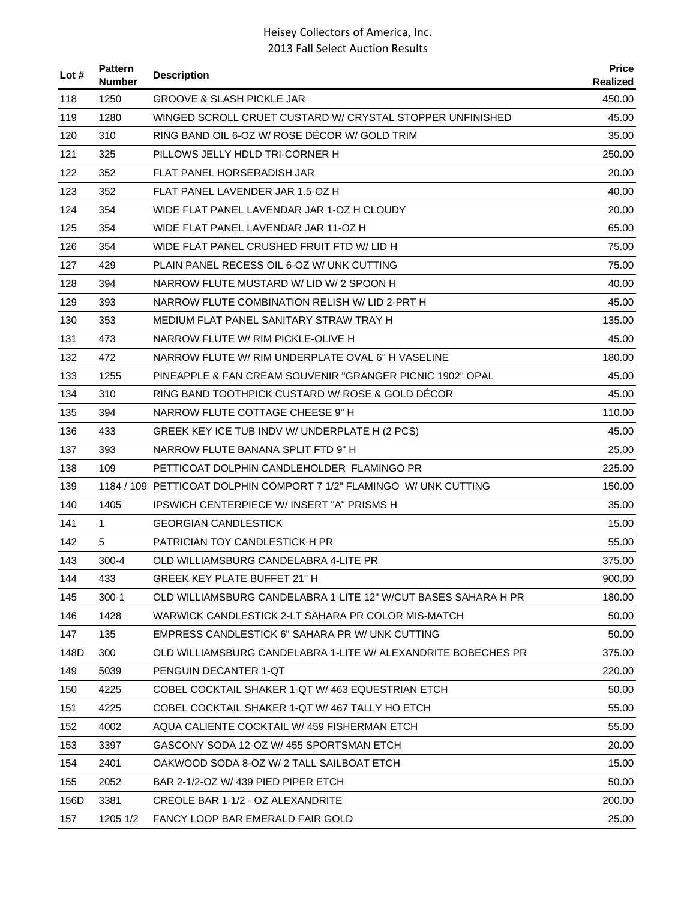| Lot # | <b>Pattern</b><br><b>Number</b> | <b>Description</b>                                                  | <b>Price</b><br>Realized |
|-------|---------------------------------|---------------------------------------------------------------------|--------------------------|
| 118   | 1250                            | <b>GROOVE &amp; SLASH PICKLE JAR</b>                                | 450.00                   |
| 119   | 1280                            | WINGED SCROLL CRUET CUSTARD W/ CRYSTAL STOPPER UNFINISHED           | 45.00                    |
| 120   | 310                             | RING BAND OIL 6-OZ W/ ROSE DÉCOR W/ GOLD TRIM                       | 35.00                    |
| 121   | 325                             | PILLOWS JELLY HDLD TRI-CORNER H                                     | 250.00                   |
| 122   | 352                             | FLAT PANEL HORSERADISH JAR                                          | 20.00                    |
| 123   | 352                             | FLAT PANEL LAVENDER JAR 1.5-OZ H                                    | 40.00                    |
| 124   | 354                             | WIDE FLAT PANEL LAVENDAR JAR 1-OZ H CLOUDY                          | 20.00                    |
| 125   | 354                             | WIDE FLAT PANEL LAVENDAR JAR 11-OZ H                                | 65.00                    |
| 126   | 354                             | WIDE FLAT PANEL CRUSHED FRUIT FTD W/ LID H                          | 75.00                    |
| 127   | 429                             | PLAIN PANEL RECESS OIL 6-OZ W/ UNK CUTTING                          | 75.00                    |
| 128   | 394                             | NARROW FLUTE MUSTARD W/LID W/2 SPOON H                              | 40.00                    |
| 129   | 393                             | NARROW FLUTE COMBINATION RELISH W/ LID 2-PRT H                      | 45.00                    |
| 130   | 353                             | MEDIUM FLAT PANEL SANITARY STRAW TRAY H                             | 135.00                   |
| 131   | 473                             | NARROW FLUTE W/ RIM PICKLE-OLIVE H                                  | 45.00                    |
| 132   | 472                             | NARROW FLUTE W/ RIM UNDERPLATE OVAL 6" H VASELINE                   | 180.00                   |
| 133   | 1255                            | PINEAPPLE & FAN CREAM SOUVENIR "GRANGER PICNIC 1902" OPAL           | 45.00                    |
| 134   | 310                             | RING BAND TOOTHPICK CUSTARD W/ ROSE & GOLD DECOR                    | 45.00                    |
| 135   | 394                             | NARROW FLUTE COTTAGE CHEESE 9" H                                    | 110.00                   |
| 136   | 433                             | GREEK KEY ICE TUB INDV W/ UNDERPLATE H (2 PCS)                      | 45.00                    |
| 137   | 393                             | NARROW FLUTE BANANA SPLIT FTD 9" H                                  | 25.00                    |
| 138   | 109                             | PETTICOAT DOLPHIN CANDLEHOLDER FLAMINGO PR                          | 225.00                   |
| 139   |                                 | 1184 / 109 PETTICOAT DOLPHIN COMPORT 7 1/2" FLAMINGO W/ UNK CUTTING | 150.00                   |
| 140   | 1405                            | <b>IPSWICH CENTERPIECE W/INSERT "A" PRISMS H</b>                    | 35.00                    |
| 141   | 1                               | <b>GEORGIAN CANDLESTICK</b>                                         | 15.00                    |
| 142   | 5                               | PATRICIAN TOY CANDLESTICK H PR                                      | 55.00                    |
| 143   | 300-4                           | OLD WILLIAMSBURG CANDELABRA 4-LITE PR                               | 375.00                   |
| 144   | 433                             | <b>GREEK KEY PLATE BUFFET 21" H</b>                                 | 900.00                   |
| 145   | $300-1$                         | OLD WILLIAMSBURG CANDELABRA 1-LITE 12" W/CUT BASES SAHARA H PR      | 180.00                   |
| 146   | 1428                            | WARWICK CANDLESTICK 2-LT SAHARA PR COLOR MIS-MATCH                  | 50.00                    |
| 147   | 135                             | EMPRESS CANDLESTICK 6" SAHARA PR W/ UNK CUTTING                     | 50.00                    |
| 148D  | 300                             | OLD WILLIAMSBURG CANDELABRA 1-LITE W/ ALEXANDRITE BOBECHES PR       | 375.00                   |
| 149   | 5039                            | PENGUIN DECANTER 1-QT                                               | 220.00                   |
| 150   | 4225                            | COBEL COCKTAIL SHAKER 1-QT W/463 EQUESTRIAN ETCH                    | 50.00                    |
| 151   | 4225                            | COBEL COCKTAIL SHAKER 1-QT W/467 TALLY HO ETCH                      | 55.00                    |
| 152   | 4002                            | AQUA CALIENTE COCKTAIL W/ 459 FISHERMAN ETCH                        | 55.00                    |
| 153   | 3397                            | GASCONY SODA 12-OZ W/455 SPORTSMAN ETCH                             | 20.00                    |
| 154   | 2401                            | OAKWOOD SODA 8-OZ W/ 2 TALL SAILBOAT ETCH                           | 15.00                    |
| 155   | 2052                            | BAR 2-1/2-OZ W/ 439 PIED PIPER ETCH                                 | 50.00                    |
| 156D  | 3381                            | CREOLE BAR 1-1/2 - OZ ALEXANDRITE                                   | 200.00                   |
| 157   | 1205 1/2                        | FANCY LOOP BAR EMERALD FAIR GOLD                                    | 25.00                    |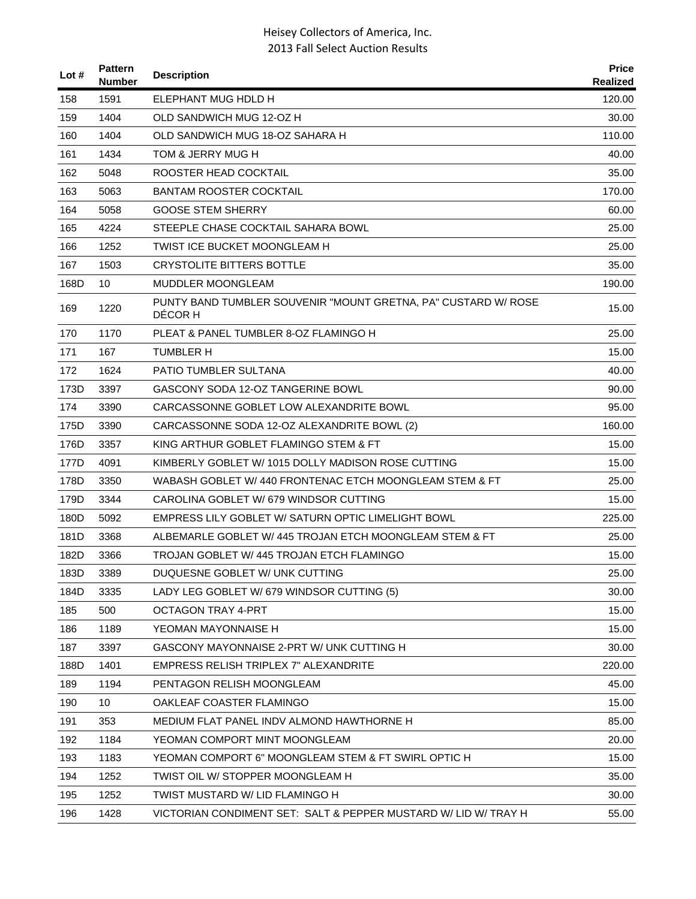| Lot # | <b>Pattern</b><br><b>Number</b> | <b>Description</b>                                                        | <b>Price</b><br><b>Realized</b> |
|-------|---------------------------------|---------------------------------------------------------------------------|---------------------------------|
| 158   | 1591                            | ELEPHANT MUG HDLD H                                                       | 120.00                          |
| 159   | 1404                            | OLD SANDWICH MUG 12-OZ H                                                  | 30.00                           |
| 160   | 1404                            | OLD SANDWICH MUG 18-OZ SAHARA H                                           | 110.00                          |
| 161   | 1434                            | TOM & JERRY MUG H                                                         | 40.00                           |
| 162   | 5048                            | ROOSTER HEAD COCKTAIL                                                     | 35.00                           |
| 163   | 5063                            | BANTAM ROOSTER COCKTAIL                                                   | 170.00                          |
| 164   | 5058                            | <b>GOOSE STEM SHERRY</b>                                                  | 60.00                           |
| 165   | 4224                            | STEEPLE CHASE COCKTAIL SAHARA BOWL                                        | 25.00                           |
| 166   | 1252                            | TWIST ICE BUCKET MOONGLEAM H                                              | 25.00                           |
| 167   | 1503                            | CRYSTOLITE BITTERS BOTTLE                                                 | 35.00                           |
| 168D  | 10                              | <b>MUDDLER MOONGLEAM</b>                                                  | 190.00                          |
| 169   | 1220                            | PUNTY BAND TUMBLER SOUVENIR "MOUNT GRETNA, PA" CUSTARD W/ ROSE<br>DÉCOR H | 15.00                           |
| 170   | 1170                            | PLEAT & PANEL TUMBLER 8-OZ FLAMINGO H                                     | 25.00                           |
| 171   | 167                             | <b>TUMBLER H</b>                                                          | 15.00                           |
| 172   | 1624                            | <b>PATIO TUMBLER SULTANA</b>                                              | 40.00                           |
| 173D  | 3397                            | GASCONY SODA 12-OZ TANGERINE BOWL                                         | 90.00                           |
| 174   | 3390                            | CARCASSONNE GOBLET LOW ALEXANDRITE BOWL                                   | 95.00                           |
| 175D  | 3390                            | CARCASSONNE SODA 12-OZ ALEXANDRITE BOWL (2)                               | 160.00                          |
| 176D  | 3357                            | KING ARTHUR GOBLET FLAMINGO STEM & FT                                     | 15.00                           |
| 177D  | 4091                            | KIMBERLY GOBLET W/ 1015 DOLLY MADISON ROSE CUTTING                        | 15.00                           |
| 178D  | 3350                            | WABASH GOBLET W/ 440 FRONTENAC ETCH MOONGLEAM STEM & FT                   | 25.00                           |
| 179D  | 3344                            | CAROLINA GOBLET W/ 679 WINDSOR CUTTING                                    | 15.00                           |
| 180D  | 5092                            | EMPRESS LILY GOBLET W/ SATURN OPTIC LIMELIGHT BOWL                        | 225.00                          |
| 181D  | 3368                            | ALBEMARLE GOBLET W/ 445 TROJAN ETCH MOONGLEAM STEM & FT                   | 25.00                           |
| 182D  | 3366                            | TROJAN GOBLET W/ 445 TROJAN ETCH FLAMINGO                                 | 15.00                           |
| 183D  | 3389                            | DUQUESNE GOBLET W/ UNK CUTTING                                            | 25.00                           |
| 184D  | 3335                            | LADY LEG GOBLET W/ 679 WINDSOR CUTTING (5)                                | 30.00                           |
| 185   | 500                             | <b>OCTAGON TRAY 4-PRT</b>                                                 | 15.00                           |
| 186   | 1189                            | YEOMAN MAYONNAISE H                                                       | 15.00                           |
| 187   | 3397                            | GASCONY MAYONNAISE 2-PRT W/ UNK CUTTING H                                 | 30.00                           |
| 188D  | 1401                            | EMPRESS RELISH TRIPLEX 7" ALEXANDRITE                                     | 220.00                          |
| 189   | 1194                            | PENTAGON RELISH MOONGLEAM                                                 | 45.00                           |
| 190   | 10                              | OAKLEAF COASTER FLAMINGO                                                  | 15.00                           |
| 191   | 353                             | MEDIUM FLAT PANEL INDV ALMOND HAWTHORNE H                                 | 85.00                           |
| 192   | 1184                            | YEOMAN COMPORT MINT MOONGLEAM                                             | 20.00                           |
| 193   | 1183                            | YEOMAN COMPORT 6" MOONGLEAM STEM & FT SWIRL OPTIC H                       | 15.00                           |
| 194   | 1252                            | TWIST OIL W/ STOPPER MOONGLEAM H                                          | 35.00                           |
| 195   | 1252                            | TWIST MUSTARD W/ LID FLAMINGO H                                           | 30.00                           |
| 196   | 1428                            | VICTORIAN CONDIMENT SET: SALT & PEPPER MUSTARD W/ LID W/ TRAY H           | 55.00                           |